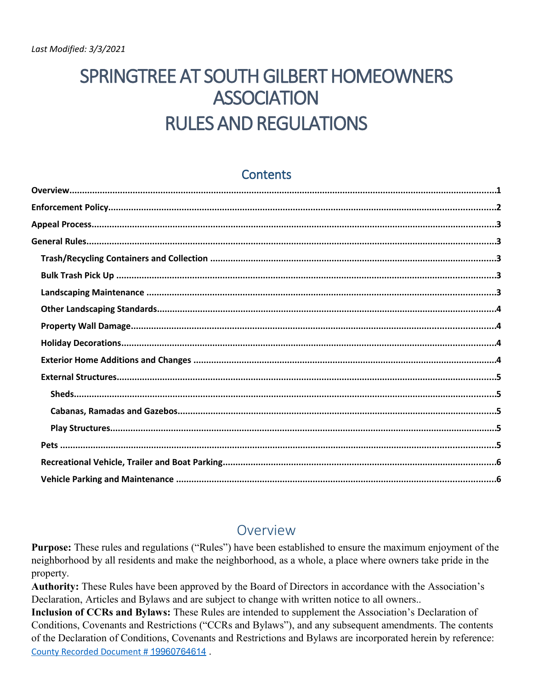# SPRINGTREE AT SOUTH GILBERT HOMEOWNERS **ASSOCIATION RULES AND REGULATIONS**

#### **Contents**

#### Overview

**Purpose:** These rules and regulations ("Rules") have been established to ensure the maximum enjoyment of the neighborhood by all residents and make the neighborhood, as a whole, a place where owners take pride in the property.

Authority: These Rules have been approved by the Board of Directors in accordance with the Association's Declaration, Articles and Bylaws and are subject to change with written notice to all owners..

Inclusion of CCRs and Bylaws: These Rules are intended to supplement the Association's Declaration of Conditions, Covenants and Restrictions ("CCRs and Bylaws"), and any subsequent amendments. The contents of the Declaration of Conditions, Covenants and Restrictions and Bylaws are incorporated herein by reference: County Recorded Document # 19960764614.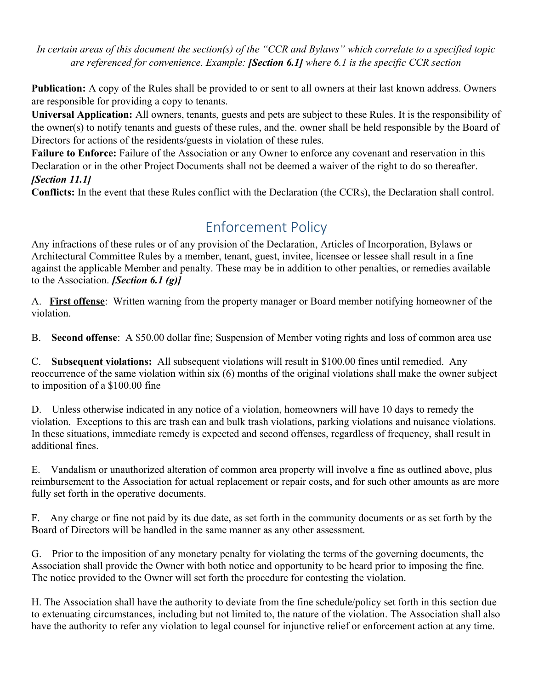*In certain areas of this document the section(s) of the "CCR and Bylaws" which correlate to a specified topic are referenced for convenience. Example: [Section 6.1] where 6.1 is the specific CCR section*

**Publication:** A copy of the Rules shall be provided to or sent to all owners at their last known address. Owners are responsible for providing a copy to tenants.

**Universal Application:** All owners, tenants, guests and pets are subject to these Rules. It is the responsibility of the owner(s) to notify tenants and guests of these rules, and the. owner shall be held responsible by the Board of Directors for actions of the residents/guests in violation of these rules.

**Failure to Enforce:** Failure of the Association or any Owner to enforce any covenant and reservation in this Declaration or in the other Project Documents shall not be deemed a waiver of the right to do so thereafter. *[Section 11.1]*

**Conflicts:** In the event that these Rules conflict with the Declaration (the CCRs), the Declaration shall control.

## Enforcement Policy

Any infractions of these rules or of any provision of the Declaration, Articles of Incorporation, Bylaws or Architectural Committee Rules by a member, tenant, guest, invitee, licensee or lessee shall result in a fine against the applicable Member and penalty. These may be in addition to other penalties, or remedies available to the Association. *[Section 6.1 (g)]*

A. **First offense**: Written warning from the property manager or Board member notifying homeowner of the violation.

B. **Second offense**: A \$50.00 dollar fine; Suspension of Member voting rights and loss of common area use

C. **Subsequent violations:** All subsequent violations will result in \$100.00 fines until remedied. Any reoccurrence of the same violation within six (6) months of the original violations shall make the owner subject to imposition of a \$100.00 fine

D. Unless otherwise indicated in any notice of a violation, homeowners will have 10 days to remedy the violation. Exceptions to this are trash can and bulk trash violations, parking violations and nuisance violations. In these situations, immediate remedy is expected and second offenses, regardless of frequency, shall result in additional fines.

E. Vandalism or unauthorized alteration of common area property will involve a fine as outlined above, plus reimbursement to the Association for actual replacement or repair costs, and for such other amounts as are more fully set forth in the operative documents.

F. Any charge or fine not paid by its due date, as set forth in the community documents or as set forth by the Board of Directors will be handled in the same manner as any other assessment.

G. Prior to the imposition of any monetary penalty for violating the terms of the governing documents, the Association shall provide the Owner with both notice and opportunity to be heard prior to imposing the fine. The notice provided to the Owner will set forth the procedure for contesting the violation.

H. The Association shall have the authority to deviate from the fine schedule/policy set forth in this section due to extenuating circumstances, including but not limited to, the nature of the violation. The Association shall also have the authority to refer any violation to legal counsel for injunctive relief or enforcement action at any time.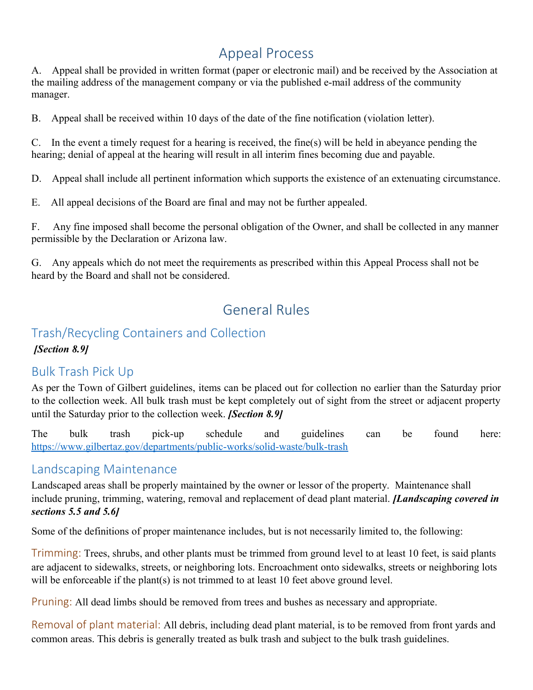# Appeal Process

A. Appeal shall be provided in written format (paper or electronic mail) and be received by the Association at the mailing address of the management company or via the published e-mail address of the community manager.

B. Appeal shall be received within 10 days of the date of the fine notification (violation letter).

C. In the event a timely request for a hearing is received, the fine(s) will be held in abeyance pending the hearing; denial of appeal at the hearing will result in all interim fines becoming due and payable.

D. Appeal shall include all pertinent information which supports the existence of an extenuating circumstance.

E. All appeal decisions of the Board are final and may not be further appealed.

F. Any fine imposed shall become the personal obligation of the Owner, and shall be collected in any manner permissible by the Declaration or Arizona law.

G. Any appeals which do not meet the requirements as prescribed within this Appeal Process shall not be heard by the Board and shall not be considered.

# General Rules

### Trash/Recycling Containers and Collection

*[Section 8.9]*

### Bulk Trash Pick Up

As per the Town of Gilbert guidelines, items can be placed out for collection no earlier than the Saturday prior to the collection week. All bulk trash must be kept completely out of sight from the street or adjacent property until the Saturday prior to the collection week. *[Section 8.9]*

The bulk trash pick-up schedule and guidelines can be found here: <https://www.gilbertaz.gov/departments/public-works/solid-waste/bulk-trash>

#### Landscaping Maintenance

Landscaped areas shall be properly maintained by the owner or lessor of the property. Maintenance shall include pruning, trimming, watering, removal and replacement of dead plant material. *[Landscaping covered in sections 5.5 and 5.6]*

Some of the definitions of proper maintenance includes, but is not necessarily limited to, the following:

Trimming: Trees, shrubs, and other plants must be trimmed from ground level to at least 10 feet, is said plants are adjacent to sidewalks, streets, or neighboring lots. Encroachment onto sidewalks, streets or neighboring lots will be enforceable if the plant(s) is not trimmed to at least 10 feet above ground level.

Pruning: All dead limbs should be removed from trees and bushes as necessary and appropriate.

Removal of plant material: All debris, including dead plant material, is to be removed from front yards and common areas. This debris is generally treated as bulk trash and subject to the bulk trash guidelines.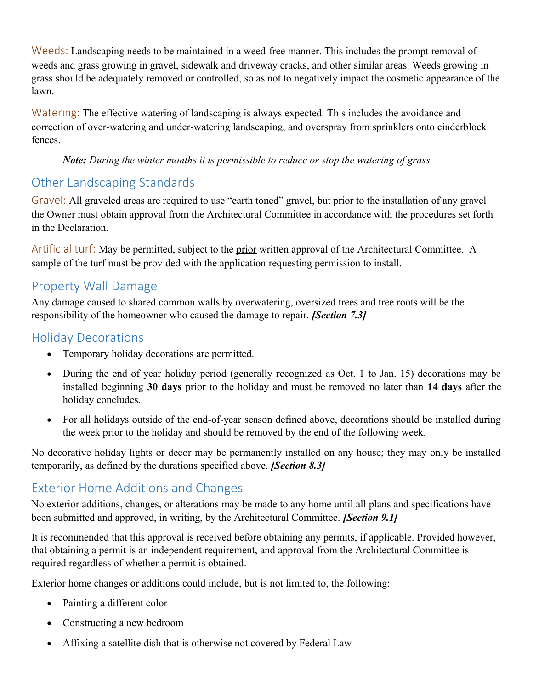Weeds: Landscaping needs to be maintained in a weed-free manner. This includes the prompt removal of weeds and grass growing in gravel, sidewalk and driveway cracks, and other similar areas. Weeds growing in grass should be adequately removed or controlled, so as not to negatively impact the cosmetic appearance of the lawn.

Watering: The effective watering of landscaping is always expected. This includes the avoidance and correction of over-watering and under-watering landscaping, and overspray from sprinklers onto cinderblock fences.

*Note: During the winter months it is permissible to reduce or stop the watering of grass.*

### Other Landscaping Standards

Gravel: All graveled areas are required to use "earth toned" gravel, but prior to the installation of any gravel the Owner must obtain approval from the Architectural Committee in accordance with the procedures set forth in the Declaration.

Artificial turf: May be permitted, subject to the prior written approval of the Architectural Committee. A sample of the turf must be provided with the application requesting permission to install.

### Property Wall Damage

Any damage caused to shared common walls by overwatering, oversized trees and tree roots will be the responsibility of the homeowner who caused the damage to repair. *[Section 7.3]*

### Holiday Decorations

- Temporary holiday decorations are permitted.
- During the end of year holiday period (generally recognized as Oct. 1 to Jan. 15) decorations may be installed beginning **30 days** prior to the holiday and must be removed no later than **14 days** after the holiday concludes.
- For all holidays outside of the end-of-year season defined above, decorations should be installed during the week prior to the holiday and should be removed by the end of the following week.

No decorative holiday lights or decor may be permanently installed on any house; they may only be installed temporarily, as defined by the durations specified above. *[Section 8.3]*

### Exterior Home Additions and Changes

No exterior additions, changes, or alterations may be made to any home until all plans and specifications have been submitted and approved, in writing, by the Architectural Committee. *[Section 9.1]*

It is recommended that this approval is received before obtaining any permits, if applicable. Provided however, that obtaining a permit is an independent requirement, and approval from the Architectural Committee is required regardless of whether a permit is obtained.

Exterior home changes or additions could include, but is not limited to, the following:

- Painting a different color
- Constructing a new bedroom
- Affixing a satellite dish that is otherwise not covered by Federal Law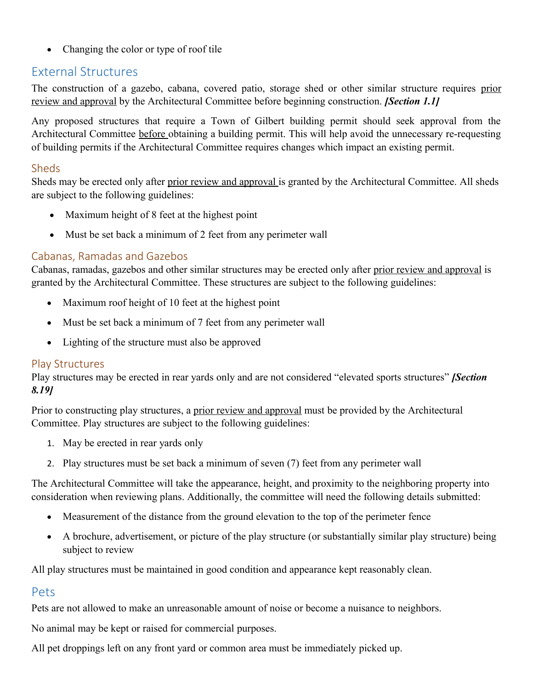• Changing the color or type of roof tile

#### External Structures

The construction of a gazebo, cabana, covered patio, storage shed or other similar structure requires prior review and approval by the Architectural Committee before beginning construction. *[Section 1.1]* 

Any proposed structures that require a Town of Gilbert building permit should seek approval from the Architectural Committee before obtaining a building permit. This will help avoid the unnecessary re-requesting of building permits if the Architectural Committee requires changes which impact an existing permit.

#### Sheds

Sheds may be erected only after prior review and approval is granted by the Architectural Committee. All sheds are subject to the following guidelines:

- Maximum height of 8 feet at the highest point
- Must be set back a minimum of 2 feet from any perimeter wall

#### Cabanas, Ramadas and Gazebos

Cabanas, ramadas, gazebos and other similar structures may be erected only after prior review and approval is granted by the Architectural Committee. These structures are subject to the following guidelines:

- Maximum roof height of 10 feet at the highest point
- Must be set back a minimum of 7 feet from any perimeter wall
- Lighting of the structure must also be approved

#### Play Structures

Play structures may be erected in rear yards only and are not considered "elevated sports structures" *[Section 8.19]*

Prior to constructing play structures, a prior review and approval must be provided by the Architectural Committee. Play structures are subject to the following guidelines:

- 1. May be erected in rear yards only
- 2. Play structures must be set back a minimum of seven (7) feet from any perimeter wall

The Architectural Committee will take the appearance, height, and proximity to the neighboring property into consideration when reviewing plans. Additionally, the committee will need the following details submitted:

- Measurement of the distance from the ground elevation to the top of the perimeter fence
- A brochure, advertisement, or picture of the play structure (or substantially similar play structure) being subject to review

All play structures must be maintained in good condition and appearance kept reasonably clean.

#### Pets

Pets are not allowed to make an unreasonable amount of noise or become a nuisance to neighbors.

No animal may be kept or raised for commercial purposes.

All pet droppings left on any front yard or common area must be immediately picked up.